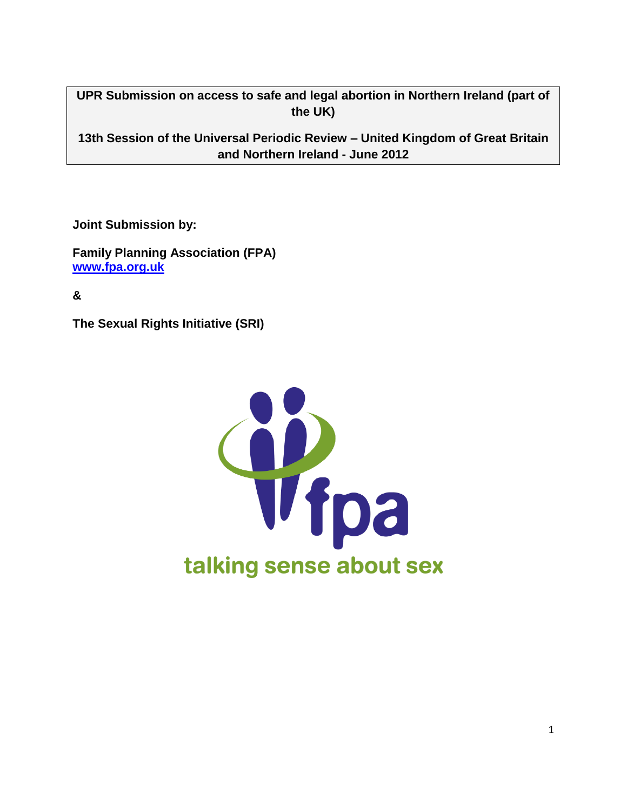**UPR Submission on access to safe and legal abortion in Northern Ireland (part of the UK)**

**13th Session of the Universal Periodic Review – United Kingdom of Great Britain and Northern Ireland - June 2012**

**Joint Submission by:**

**Family Planning Association (FPA) [www.fpa.org.uk](http://www.fpa.co.uk/)**

**&**

**The Sexual Rights Initiative (SRI)** 

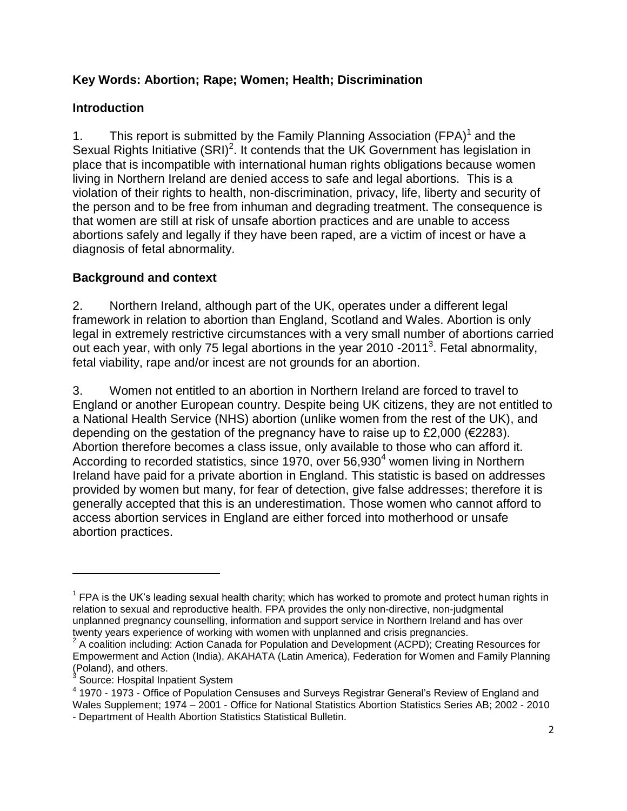### **Key Words: Abortion; Rape; Women; Health; Discrimination**

### **Introduction**

1. This report is submitted by the Family Planning Association (FPA) $<sup>1</sup>$  and the</sup> Sexual Rights Initiative  $(SRI)^2$ . It contends that the UK Government has legislation in place that is incompatible with international human rights obligations because women living in Northern Ireland are denied access to safe and legal abortions. This is a violation of their rights to health, non-discrimination, privacy, life, liberty and security of the person and to be free from inhuman and degrading treatment. The consequence is that women are still at risk of unsafe abortion practices and are unable to access abortions safely and legally if they have been raped, are a victim of incest or have a diagnosis of fetal abnormality.

# **Background and context**

2. Northern Ireland, although part of the UK, operates under a different legal framework in relation to abortion than England, Scotland and Wales. Abortion is only legal in extremely restrictive circumstances with a very small number of abortions carried out each year, with only 75 legal abortions in the year 2010 -2011<sup>3</sup>. Fetal abnormality, fetal viability, rape and/or incest are not grounds for an abortion.

3. Women not entitled to an abortion in Northern Ireland are forced to travel to England or another European country. Despite being UK citizens, they are not entitled to a National Health Service (NHS) abortion (unlike women from the rest of the UK), and depending on the gestation of the pregnancy have to raise up to £2,000 ( $\epsilon$ 2283). Abortion therefore becomes a class issue, only available to those who can afford it. According to recorded statistics, since 1970, over  $56,930<sup>4</sup>$  women living in Northern Ireland have paid for a private abortion in England. This statistic is based on addresses provided by women but many, for fear of detection, give false addresses; therefore it is generally accepted that this is an underestimation. Those women who cannot afford to access abortion services in England are either forced into motherhood or unsafe abortion practices.

 $\overline{\phantom{a}}$ 

 $1$  FPA is the UK's leading sexual health charity; which has worked to promote and protect human rights in relation to sexual and reproductive health. FPA provides the only non-directive, non-judgmental unplanned pregnancy counselling, information and support service in Northern Ireland and has over twenty years experience of working with women with unplanned and crisis pregnancies.

 $2$  A coalition including: Action Canada for Population and Development (ACPD); Creating Resources for Empowerment and Action (India), AKAHATA (Latin America), Federation for Women and Family Planning (Poland), and others.

<sup>3</sup> Source: Hospital Inpatient System

 $4$  1970 - 1973 - Office of Population Censuses and Surveys Registrar General's Review of England and Wales Supplement; 1974 – 2001 - Office for National Statistics Abortion Statistics Series AB; 2002 - 2010

<sup>-</sup> Department of Health Abortion Statistics Statistical Bulletin.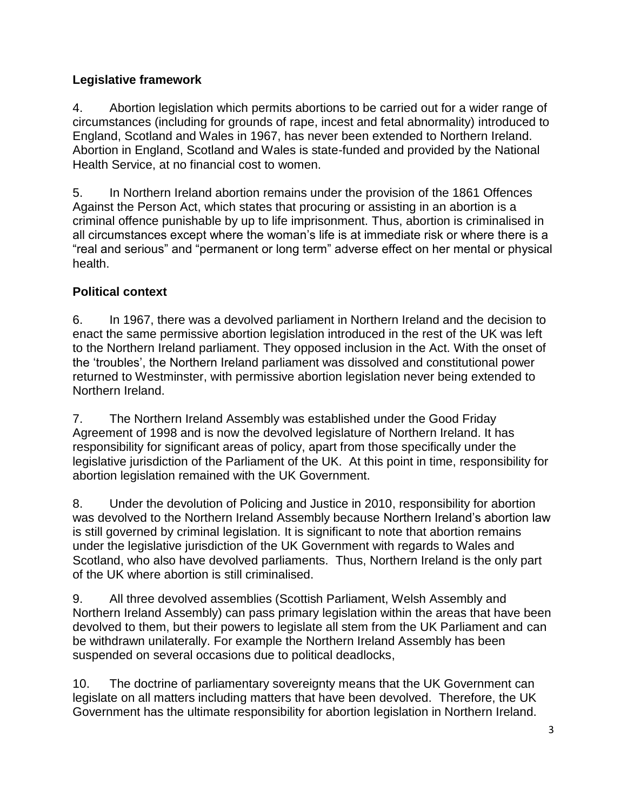# **Legislative framework**

4. Abortion legislation which permits abortions to be carried out for a wider range of circumstances (including for grounds of rape, incest and fetal abnormality) introduced to England, Scotland and Wales in 1967, has never been extended to Northern Ireland. Abortion in England, Scotland and Wales is state-funded and provided by the National Health Service, at no financial cost to women.

5. In Northern Ireland abortion remains under the provision of the 1861 Offences Against the Person Act, which states that procuring or assisting in an abortion is a criminal offence punishable by up to life imprisonment. Thus, abortion is criminalised in all circumstances except where the woman"s life is at immediate risk or where there is a "real and serious" and "permanent or long term" adverse effect on her mental or physical health.

### **Political context**

6. In 1967, there was a devolved parliament in Northern Ireland and the decision to enact the same permissive abortion legislation introduced in the rest of the UK was left to the Northern Ireland parliament. They opposed inclusion in the Act. With the onset of the "troubles", the Northern Ireland parliament was dissolved and constitutional power returned to Westminster, with permissive abortion legislation never being extended to Northern Ireland.

7. The Northern Ireland Assembly was established under the Good Friday Agreement of 1998 and is now the devolved legislature of Northern Ireland. It has responsibility for significant areas of policy, apart from those specifically under the legislative jurisdiction of the Parliament of the UK. At this point in time, responsibility for abortion legislation remained with the UK Government.

8. Under the devolution of Policing and Justice in 2010, responsibility for abortion was devolved to the Northern Ireland Assembly because Northern Ireland"s abortion law is still governed by criminal legislation. It is significant to note that abortion remains under the legislative jurisdiction of the UK Government with regards to Wales and Scotland, who also have devolved parliaments. Thus, Northern Ireland is the only part of the UK where abortion is still criminalised.

9. All three devolved assemblies (Scottish Parliament, Welsh Assembly and Northern Ireland Assembly) can pass primary legislation within the areas that have been devolved to them, but their powers to legislate all stem from the UK Parliament and can be withdrawn unilaterally. For example the Northern Ireland Assembly has been suspended on several occasions due to political deadlocks,

10. The doctrine of parliamentary sovereignty means that the UK Government can legislate on all matters including matters that have been devolved. Therefore, the UK Government has the ultimate responsibility for abortion legislation in Northern Ireland.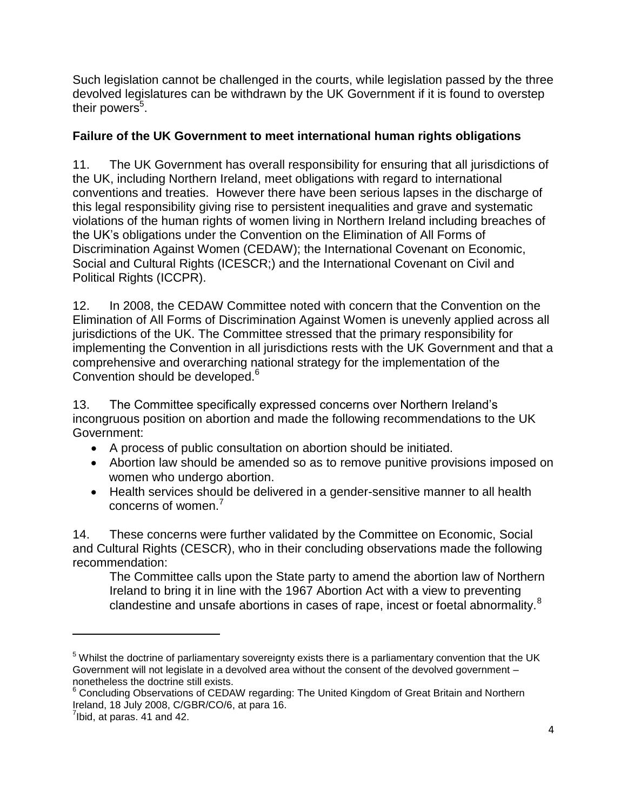Such legislation cannot be challenged in the courts, while legislation passed by the three devolved legislatures can be withdrawn by the UK Government if it is found to overstep their powers<sup>5</sup>.

#### **Failure of the UK Government to meet international human rights obligations**

11. The UK Government has overall responsibility for ensuring that all jurisdictions of the UK, including Northern Ireland, meet obligations with regard to international conventions and treaties. However there have been serious lapses in the discharge of this legal responsibility giving rise to persistent inequalities and grave and systematic violations of the human rights of women living in Northern Ireland including breaches of the UK"s obligations under the Convention on the Elimination of All Forms of Discrimination Against Women (CEDAW); the International Covenant on Economic, Social and Cultural Rights (ICESCR;) and the International Covenant on Civil and Political Rights (ICCPR).

12. In 2008, the CEDAW Committee noted with concern that the Convention on the Elimination of All Forms of Discrimination Against Women is unevenly applied across all jurisdictions of the UK. The Committee stressed that the primary responsibility for implementing the Convention in all jurisdictions rests with the UK Government and that a comprehensive and overarching national strategy for the implementation of the Convention should be developed.<sup>6</sup>

13. The Committee specifically expressed concerns over Northern Ireland"s incongruous position on abortion and made the following recommendations to the UK Government:

- A process of public consultation on abortion should be initiated.
- Abortion law should be amended so as to remove punitive provisions imposed on women who undergo abortion.
- Health services should be delivered in a gender-sensitive manner to all health concerns of women.<sup>7</sup>

14. These concerns were further validated by the Committee on Economic, Social and Cultural Rights (CESCR), who in their concluding observations made the following recommendation:

The Committee calls upon the State party to amend the abortion law of Northern Ireland to bring it in line with the 1967 Abortion Act with a view to preventing clandestine and unsafe abortions in cases of rape, incest or foetal abnormality.<sup>8</sup>

 $\overline{\phantom{a}}$ 

 $<sup>5</sup>$  Whilst the doctrine of parliamentary sovereignty exists there is a parliamentary convention that the UK</sup> Government will not legislate in a devolved area without the consent of the devolved government – nonetheless the doctrine still exists.

 $6$  Concluding Observations of CEDAW regarding: The United Kingdom of Great Britain and Northern Ireland, 18 July 2008, C/GBR/CO/6, at para 16.

 $7$ Ibid, at paras. 41 and 42.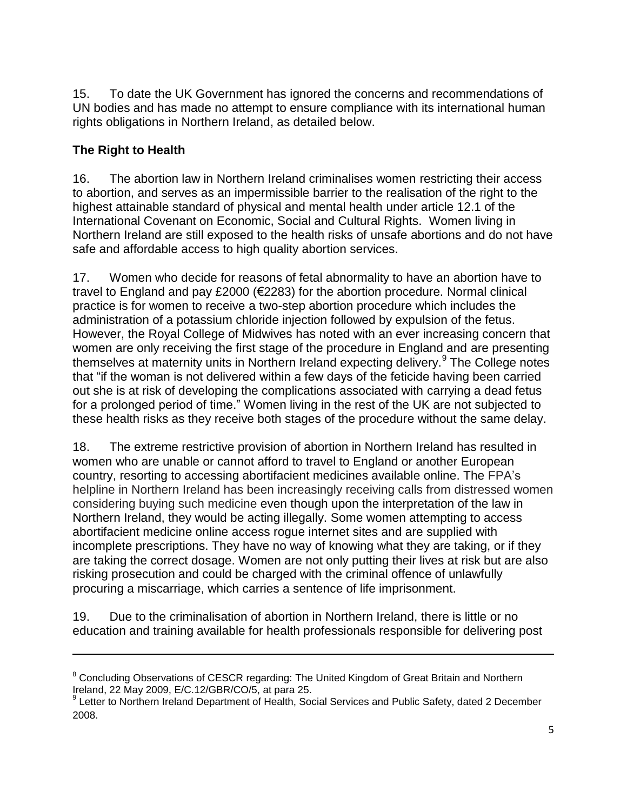15. To date the UK Government has ignored the concerns and recommendations of UN bodies and has made no attempt to ensure compliance with its international human rights obligations in Northern Ireland, as detailed below.

# **The Right to Health**

l

16. The abortion law in Northern Ireland criminalises women restricting their access to abortion, and serves as an impermissible barrier to the realisation of the right to the highest attainable standard of physical and mental health under article 12.1 of the International Covenant on Economic, Social and Cultural Rights. Women living in Northern Ireland are still exposed to the health risks of unsafe abortions and do not have safe and affordable access to high quality abortion services.

17. Women who decide for reasons of fetal abnormality to have an abortion have to travel to England and pay £2000 (€2283) for the abortion procedure. Normal clinical practice is for women to receive a two-step abortion procedure which includes the administration of a potassium chloride injection followed by expulsion of the fetus. However, the Royal College of Midwives has noted with an ever increasing concern that women are only receiving the first stage of the procedure in England and are presenting themselves at maternity units in Northern Ireland expecting delivery.<sup>9</sup> The College notes that "if the woman is not delivered within a few days of the feticide having been carried out she is at risk of developing the complications associated with carrying a dead fetus for a prolonged period of time." Women living in the rest of the UK are not subjected to these health risks as they receive both stages of the procedure without the same delay.

18. The extreme restrictive provision of abortion in Northern Ireland has resulted in women who are unable or cannot afford to travel to England or another European country, resorting to accessing abortifacient medicines available online. The FPA"s helpline in Northern Ireland has been increasingly receiving calls from distressed women considering buying such medicine even though upon the interpretation of the law in Northern Ireland, they would be acting illegally. Some women attempting to access abortifacient medicine online access rogue internet sites and are supplied with incomplete prescriptions. They have no way of knowing what they are taking, or if they are taking the correct dosage. Women are not only putting their lives at risk but are also risking prosecution and could be charged with the criminal offence of unlawfully procuring a miscarriage, which carries a sentence of life imprisonment.

19. Due to the criminalisation of abortion in Northern Ireland, there is little or no education and training available for health professionals responsible for delivering post

<sup>&</sup>lt;sup>8</sup> Concluding Observations of CESCR regarding: The United Kingdom of Great Britain and Northern Ireland, 22 May 2009, E/C.12/GBR/CO/5, at para 25.

<sup>&</sup>lt;sup>9</sup> Letter to Northern Ireland Department of Health, Social Services and Public Safety, dated 2 December 2008.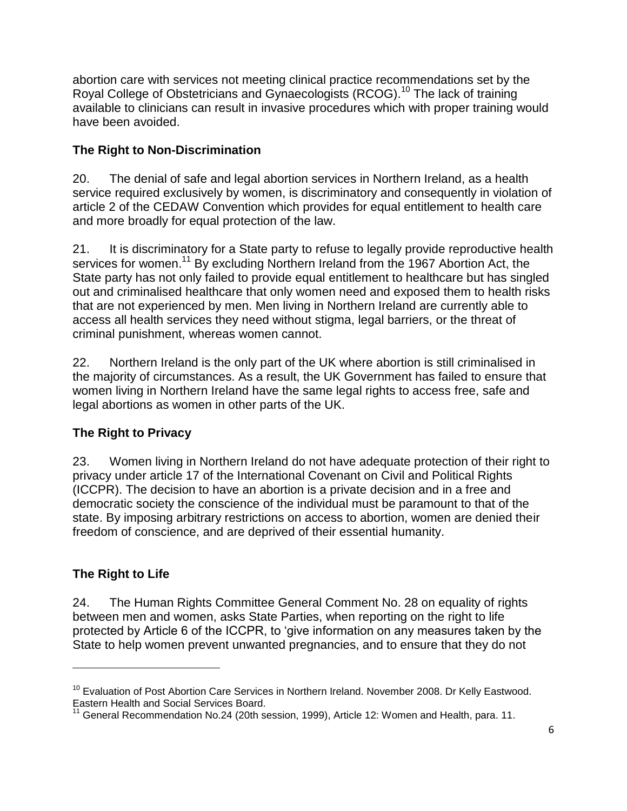abortion care with services not meeting clinical practice recommendations set by the Royal College of Obstetricians and Gynaecologists (RCOG). <sup>10</sup> The lack of training available to clinicians can result in invasive procedures which with proper training would have been avoided.

# **The Right to Non-Discrimination**

20. The denial of safe and legal abortion services in Northern Ireland, as a health service required exclusively by women, is discriminatory and consequently in violation of article 2 of the CEDAW Convention which provides for equal entitlement to health care and more broadly for equal protection of the law.

21. It is discriminatory for a State party to refuse to legally provide reproductive health services for women.<sup>11</sup> By excluding Northern Ireland from the 1967 Abortion Act, the State party has not only failed to provide equal entitlement to healthcare but has singled out and criminalised healthcare that only women need and exposed them to health risks that are not experienced by men. Men living in Northern Ireland are currently able to access all health services they need without stigma, legal barriers, or the threat of criminal punishment, whereas women cannot.

22. Northern Ireland is the only part of the UK where abortion is still criminalised in the majority of circumstances. As a result, the UK Government has failed to ensure that women living in Northern Ireland have the same legal rights to access free, safe and legal abortions as women in other parts of the UK.

# **The Right to Privacy**

23. Women living in Northern Ireland do not have adequate protection of their right to privacy under article 17 of the International Covenant on Civil and Political Rights (ICCPR). The decision to have an abortion is a private decision and in a free and democratic society the conscience of the individual must be paramount to that of the state. By imposing arbitrary restrictions on access to abortion, women are denied their freedom of conscience, and are deprived of their essential humanity.

#### **The Right to Life**

 $\overline{\phantom{a}}$ 

24. The Human Rights Committee General Comment No. 28 on equality of rights between men and women, asks State Parties, when reporting on the right to life protected by Article 6 of the ICCPR, to "give information on any measures taken by the State to help women prevent unwanted pregnancies, and to ensure that they do not

<sup>&</sup>lt;sup>10</sup> Evaluation of Post Abortion Care Services in Northern Ireland. November 2008. Dr Kelly Eastwood. Eastern Health and Social Services Board.

 $11$  General Recommendation No.24 (20th session, 1999), Article 12: Women and Health, para. 11.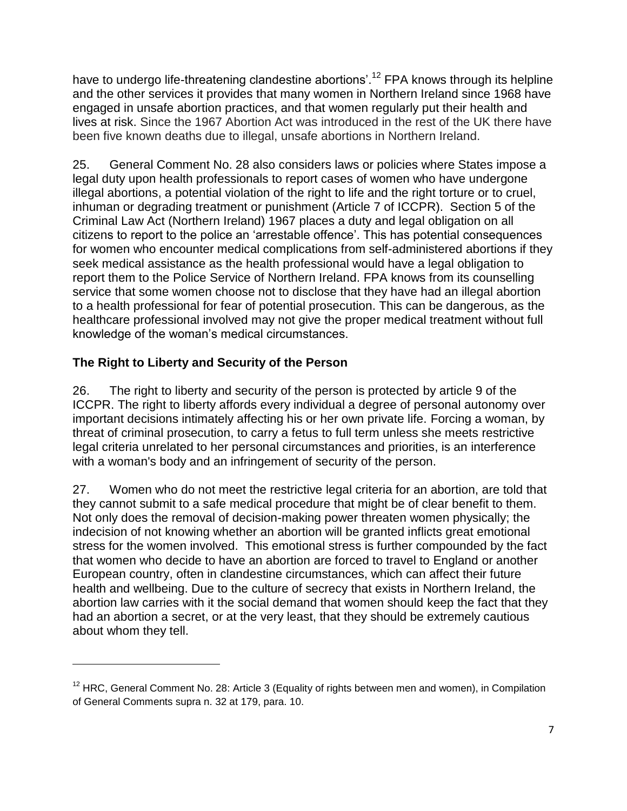have to undergo life-threatening clandestine abortions'.<sup>12</sup> FPA knows through its helpline and the other services it provides that many women in Northern Ireland since 1968 have engaged in unsafe abortion practices, and that women regularly put their health and lives at risk. Since the 1967 Abortion Act was introduced in the rest of the UK there have been five known deaths due to illegal, unsafe abortions in Northern Ireland.

25. General Comment No. 28 also considers laws or policies where States impose a legal duty upon health professionals to report cases of women who have undergone illegal abortions, a potential violation of the right to life and the right torture or to cruel, inhuman or degrading treatment or punishment (Article 7 of ICCPR). Section 5 of the Criminal Law Act (Northern Ireland) 1967 places a duty and legal obligation on all citizens to report to the police an "arrestable offence". This has potential consequences for women who encounter medical complications from self-administered abortions if they seek medical assistance as the health professional would have a legal obligation to report them to the Police Service of Northern Ireland. FPA knows from its counselling service that some women choose not to disclose that they have had an illegal abortion to a health professional for fear of potential prosecution. This can be dangerous, as the healthcare professional involved may not give the proper medical treatment without full knowledge of the woman"s medical circumstances.

### **The Right to Liberty and Security of the Person**

 $\overline{\phantom{a}}$ 

26. The right to liberty and security of the person is protected by article 9 of the ICCPR. The right to liberty affords every individual a degree of personal autonomy over important decisions intimately affecting his or her own private life. Forcing a woman, by threat of criminal prosecution, to carry a fetus to full term unless she meets restrictive legal criteria unrelated to her personal circumstances and priorities, is an interference with a woman's body and an infringement of security of the person.

27. Women who do not meet the restrictive legal criteria for an abortion, are told that they cannot submit to a safe medical procedure that might be of clear benefit to them. Not only does the removal of decision-making power threaten women physically; the indecision of not knowing whether an abortion will be granted inflicts great emotional stress for the women involved. This emotional stress is further compounded by the fact that women who decide to have an abortion are forced to travel to England or another European country, often in clandestine circumstances, which can affect their future health and wellbeing. Due to the culture of secrecy that exists in Northern Ireland, the abortion law carries with it the social demand that women should keep the fact that they had an abortion a secret, or at the very least, that they should be extremely cautious about whom they tell.

 $12$  HRC, General Comment No. 28: Article 3 (Equality of rights between men and women), in Compilation of General Comments supra n. 32 at 179, para. 10.